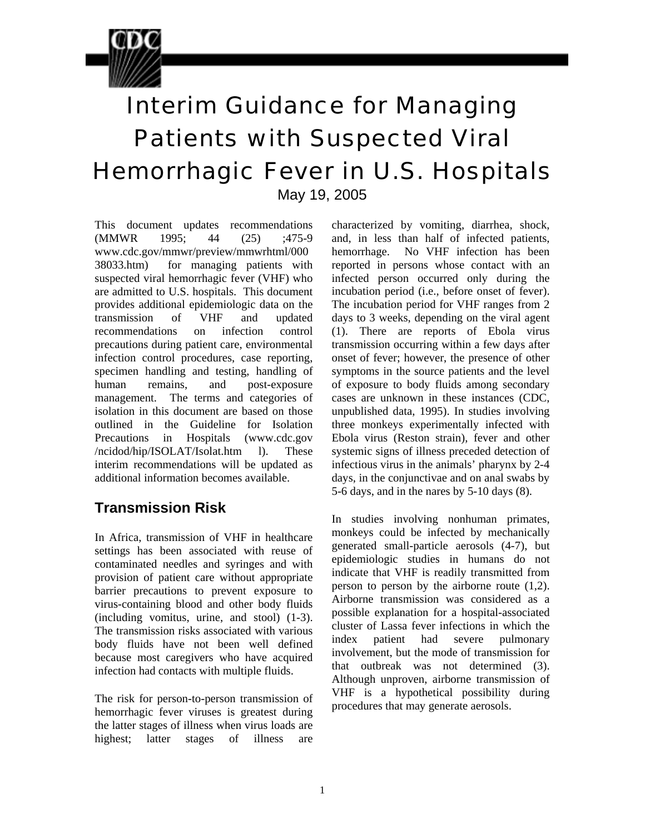

# Interim Guidance for Managing Patients with Suspected Viral Hemorrhagic Fever in U.S. Hospitals

May 19, 2005

This document updates recommendations (MMWR 1995; 44 (25) ;475-9 www.cdc.gov/mmwr/preview/mmwrhtml/000 38033.htm) for managing patients with suspected viral hemorrhagic fever (VHF) who are admitted to U.S. hospitals. This document provides additional epidemiologic data on the transmission of VHF and updated recommendations on infection control precautions during patient care, environmental infection control procedures, case reporting, specimen handling and testing, handling of human remains, and post-exposure management. The terms and categories of isolation in this document are based on those outlined in the Guideline for Isolation Precautions in Hospitals (www.cdc.gov /ncidod/hip/ISOLAT/Isolat.htm l). These interim recommendations will be updated as additional information becomes available.

## **Transmission Risk**

In Africa, transmission of VHF in healthcare settings has been associated with reuse of contaminated needles and syringes and with provision of patient care without appropriate barrier precautions to prevent exposure to virus-containing blood and other body fluids (including vomitus, urine, and stool) (1-3). The transmission risks associated with various body fluids have not been well defined because most caregivers who have acquired infection had contacts with multiple fluids.

The risk for person-to-person transmission of hemorrhagic fever viruses is greatest during the latter stages of illness when virus loads are highest; latter stages of illness are

 and, in less than half of infected patients, characterized by vomiting, diarrhea, shock, hemorrhage. No VHF infection has been reported in persons whose contact with an infected person occurred only during the incubation period (i.e., before onset of fever). The incubation period for VHF ranges from 2 days to 3 weeks, depending on the viral agent (1). There are reports of Ebola virus transmission occurring within a few days after onset of fever; however, the presence of other symptoms in the source patients and the level of exposure to body fluids among secondary cases are unknown in these instances (CDC, unpublished data, 1995). In studies involving three monkeys experimentally infected with Ebola virus (Reston strain), fever and other systemic signs of illness preceded detection of infectious virus in the animals' pharynx by 2-4 days, in the conjunctivae and on anal swabs by 5-6 days, and in the nares by 5-10 days (8).

In studies involving nonhuman primates, monkeys could be infected by mechanically generated small-particle aerosols (4-7), but epidemiologic studies in humans do not indicate that VHF is readily transmitted from person to person by the airborne route (1,2). Airborne transmission was considered as a possible explanation for a hospital-associated cluster of Lassa fever infections in which the index patient had severe pulmonary involvement, but the mode of transmission for that outbreak was not determined (3). Although unproven, airborne transmission of VHF is a hypothetical possibility during procedures that may generate aerosols.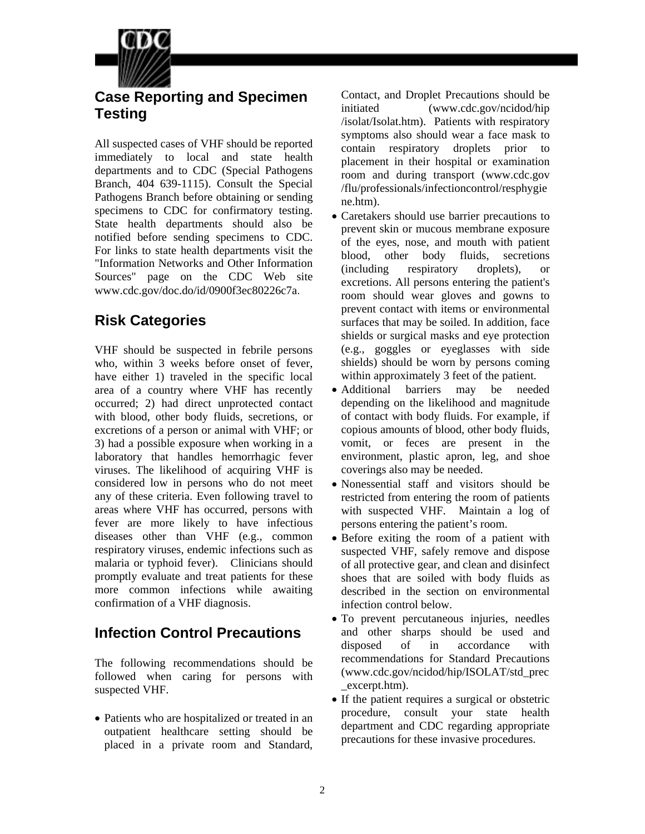

#### **Case Reporting and Specimen Testing**

All suspected cases of VHF should be reported immediately to local and state health departments and to CDC (Special Pathogens Branch, 404 639-1115). Consult the Special Pathogens Branch before obtaining or sending specimens to CDC for confirmatory testing. State health departments should also be notified before sending specimens to CDC. For links to state health departments visit the "Information Networks and Other Information Sources" page on the CDC Web site www.cdc.gov/doc.do/id/0900f3ec80226c7a.

## **Risk Categories**

VHF should be suspected in febrile persons who, within 3 weeks before onset of fever, have either 1) traveled in the specific local area of a country where VHF has recently occurred; 2) had direct unprotected contact with blood, other body fluids, secretions, or excretions of a person or animal with VHF; or 3) had a possible exposure when working in a laboratory that handles hemorrhagic fever viruses. The likelihood of acquiring VHF is considered low in persons who do not meet any of these criteria. Even following travel to areas where VHF has occurred, persons with fever are more likely to have infectious diseases other than VHF (e.g., common respiratory viruses, endemic infections such as malaria or typhoid fever). Clinicians should promptly evaluate and treat patients for these more common infections while awaiting confirmation of a VHF diagnosis.

# **Infection Control Precautions**

The following recommendations should be followed when caring for persons with suspected VHF.

• Patients who are hospitalized or treated in an outpatient healthcare setting should be placed in a private room and Standard,

Contact, and Droplet Precautions should be initiated (www.cdc.gov/ncidod/hip /isolat/Isolat.htm). Patients with respiratory symptoms also should wear a face mask to contain respiratory droplets prior to placement in their hospital or examination room and during transport (www.cdc.gov /flu/professionals/infectioncontrol/resphygie ne.htm).

- Caretakers should use barrier precautions to prevent skin or mucous membrane exposure of the eyes, nose, and mouth with patient blood, other body fluids, secretions (including respiratory droplets), or excretions. All persons entering the patient's room should wear gloves and gowns to prevent contact with items or environmental surfaces that may be soiled. In addition, face shields or surgical masks and eye protection (e.g., goggles or eyeglasses with side shields) should be worn by persons coming within approximately 3 feet of the patient.
- Additional barriers may be needed depending on the likelihood and magnitude of contact with body fluids. For example, if copious amounts of blood, other body fluids, vomit, or feces are present in the environment, plastic apron, leg, and shoe coverings also may be needed.
- Nonessential staff and visitors should be restricted from entering the room of patients with suspected VHF. Maintain a log of persons entering the patient's room.
- Before exiting the room of a patient with suspected VHF, safely remove and dispose of all protective gear, and clean and disinfect shoes that are soiled with body fluids as described in the section on environmental infection control below.
- To prevent percutaneous injuries, needles and other sharps should be used and disposed of in accordance with recommendations for Standard Precautions (www.cdc.gov/ncidod/hip/ISOLAT/std\_prec \_excerpt.htm).
- If the patient requires a surgical or obstetric procedure, consult your state health department and CDC regarding appropriate precautions for these invasive procedures.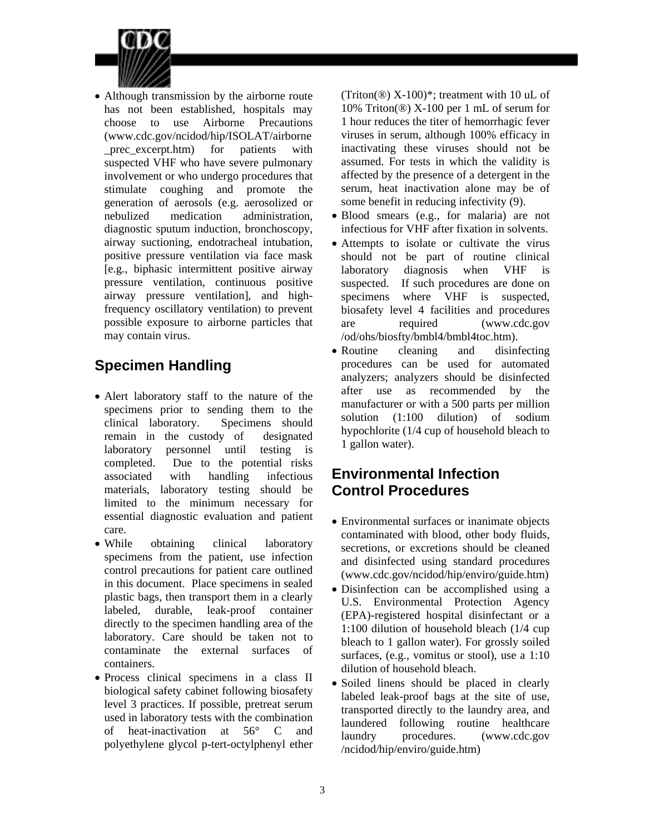

• Although transmission by the airborne route has not been established, hospitals may choose to use Airborne Precautions (www.cdc.gov/ncidod/hip/ISOLAT/airborne \_prec\_excerpt.htm) for patients with suspected VHF who have severe pulmonary involvement or who undergo procedures that stimulate coughing and promote the generation of aerosols (e.g. aerosolized or nebulized medication administration, diagnostic sputum induction, bronchoscopy, airway suctioning, endotracheal intubation, positive pressure ventilation via face mask [e.g., biphasic intermittent positive airway pressure ventilation, continuous positive airway pressure ventilation], and highfrequency oscillatory ventilation) to prevent possible exposure to airborne particles that may contain virus.

# **Specimen Handling**

- Alert laboratory staff to the nature of the specimens prior to sending them to the clinical laboratory. Specimens should remain in the custody of designated laboratory personnel until testing is completed. Due to the potential risks associated with handling infectious materials, laboratory testing should be limited to the minimum necessary for essential diagnostic evaluation and patient care.
- While obtaining clinical laboratory specimens from the patient, use infection control precautions for patient care outlined in this document. Place specimens in sealed plastic bags, then transport them in a clearly labeled, durable, leak-proof container directly to the specimen handling area of the laboratory. Care should be taken not to contaminate the external surfaces of containers.
- Process clinical specimens in a class II biological safety cabinet following biosafety level 3 practices. If possible, pretreat serum used in laboratory tests with the combination of heat-inactivation at 56° C and polyethylene glycol p-tert-octylphenyl ether

(Triton( $\circledR$ ) X-100)\*; treatment with 10 uL of 10% Triton(®) X-100 per 1 mL of serum for 1 hour reduces the titer of hemorrhagic fever viruses in serum, although 100% efficacy in inactivating these viruses should not be assumed. For tests in which the validity is affected by the presence of a detergent in the serum, heat inactivation alone may be of some benefit in reducing infectivity (9).

- Blood smears (e.g., for malaria) are not infectious for VHF after fixation in solvents.
- Attempts to isolate or cultivate the virus should not be part of routine clinical laboratory diagnosis when VHF is suspected. If such procedures are done on specimens where VHF is suspected, biosafety level 4 facilities and procedures are required (www.cdc.gov /od/ohs/biosfty/bmbl4/bmbl4toc.htm).
- Routine cleaning and disinfecting procedures can be used for automated analyzers; analyzers should be disinfected after use as recommended by the manufacturer or with a 500 parts per million solution (1:100 dilution) of sodium hypochlorite (1/4 cup of household bleach to 1 gallon water).

## **Environmental Infection Control Procedures**

- Environmental surfaces or inanimate objects contaminated with blood, other body fluids, secretions, or excretions should be cleaned and disinfected using standard procedures (www.cdc.gov/ncidod/hip/enviro/guide.htm)
- surfaces, (e.g., vomitus or stool), use a 1:10 • Disinfection can be accomplished using a U.S. Environmental Protection Agency (EPA)-registered hospital disinfectant or a 1:100 dilution of household bleach (1/4 cup bleach to 1 gallon water). For grossly soiled dilution of household bleach.
- Soiled linens should be placed in clearly labeled leak-proof bags at the site of use, transported directly to the laundry area, and laundered following routine healthcare laundry procedures. (www.cdc.gov /ncidod/hip/enviro/guide.htm)